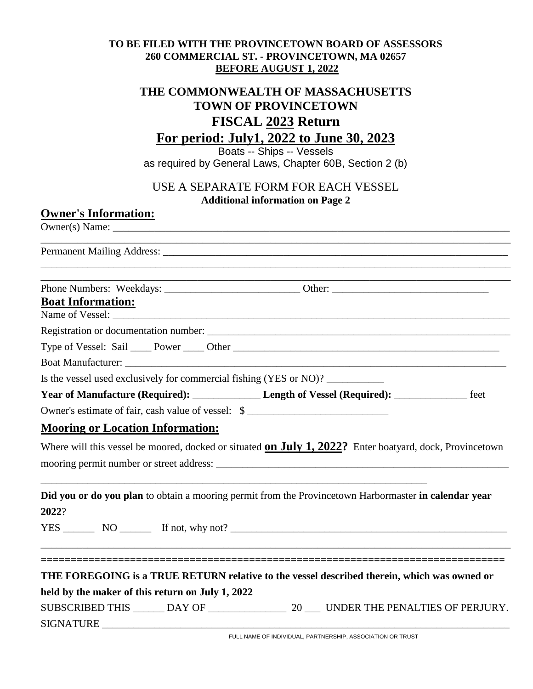### **TO BE FILED WITH THE PROVINCETOWN BOARD OF ASSESSORS 260 COMMERCIAL ST. - PROVINCETOWN, MA 02657 BEFORE AUGUST 1, 2022**

# **THE COMMONWEALTH OF MASSACHUSETTS TOWN OF PROVINCETOWN FISCAL 2023 Return For period: July1, 2022 to June 30, 2023**

Boats -- Ships -- Vessels as required by General Laws, Chapter 60B, Section 2 (b)

### USE A SEPARATE FORM FOR EACH VESSEL **Additional information on Page 2**

### **Owner's Information:**

 $Owner(s)$  Name:  $\Box$ 

\_\_\_\_\_\_\_\_\_\_\_\_\_\_\_\_\_\_\_\_\_\_\_\_\_\_\_\_\_\_\_\_\_\_\_\_\_\_\_\_\_\_\_\_\_\_\_\_\_\_\_\_\_\_\_\_\_\_\_\_\_\_\_\_\_\_\_\_\_\_\_\_\_\_\_\_\_\_\_\_\_\_\_\_\_\_\_\_\_\_ Permanent Mailing Address: \_\_\_\_\_\_\_\_\_\_\_\_\_\_\_\_\_\_\_\_\_\_\_\_\_\_\_\_\_\_\_\_\_\_\_\_\_\_\_\_\_\_\_\_\_\_\_\_\_\_\_\_\_\_\_\_\_\_\_\_\_\_\_\_\_\_\_\_\_\_\_\_\_\_\_\_\_\_\_\_\_\_\_\_\_\_\_\_\_\_ \_\_\_\_\_\_\_\_\_\_\_\_\_\_\_\_\_\_\_\_\_\_\_\_\_\_\_\_\_\_\_\_\_\_\_\_\_\_\_\_\_\_\_\_\_\_\_\_\_\_\_\_\_\_\_\_\_\_\_\_\_\_\_\_\_\_\_\_\_\_\_\_\_\_\_\_\_\_\_\_\_\_\_\_\_\_\_\_\_\_ Phone Numbers: Weekdays: \_\_\_\_\_\_\_\_\_\_\_\_\_\_\_\_\_\_\_\_\_\_\_\_\_\_ Other: \_\_\_\_\_\_\_\_\_\_\_\_\_\_\_\_\_\_\_\_\_\_\_\_\_\_\_\_\_\_ **Boat Information:** Name of Vessel: \_\_\_\_\_\_\_\_\_\_\_\_\_\_\_\_\_\_\_\_\_\_\_\_\_\_\_\_\_\_\_\_\_\_\_\_\_\_\_\_\_\_\_\_\_\_\_\_\_\_\_\_\_\_\_\_\_\_\_\_\_\_\_\_\_\_\_\_\_\_\_\_\_\_\_\_ Registration or documentation number: Type of Vessel: Sail Power Other Communications of Vessel: Sail Power Communications of Vessel: Sail Power Communications of Vessels and Type of Vessels and Type of Vessels and Type of Vessels and Type of Vessels and Type Boat Manufacturer: Is the vessel used exclusively for commercial fishing (YES or NO)? **Year of Manufacture (Required):** Length of Vessel (Required): \_\_\_\_\_\_\_\_\_\_\_\_\_\_ feet Owner's estimate of fair, cash value of vessel: \$ **Mooring or Location Information:** Where will this vessel be moored, docked or situated **on July 1, 2022?** Enter boatyard, dock, Provincetown mooring permit number or street address: \_\_\_\_\_\_\_\_\_\_\_\_\_\_\_\_\_\_\_\_\_\_\_\_\_\_\_\_\_\_\_\_\_\_\_\_\_\_\_\_\_\_\_\_\_\_\_\_\_\_\_\_\_\_\_\_ \_\_\_\_\_\_\_\_\_\_\_\_\_\_\_\_\_\_\_\_\_\_\_\_\_\_\_\_\_\_\_\_\_\_\_\_\_\_\_\_\_\_\_\_\_\_\_\_\_\_\_\_\_\_\_\_\_\_\_\_\_\_\_\_\_\_\_\_\_\_\_\_\_\_ **Did you or do you plan** to obtain a mooring permit from the Provincetown Harbormaster **in calendar year 2022**?  $YES \_\_\_\_\_$  NO  $\_\_\_\_\$  If not, why not?  $\_\_\_\_\_\_\_\_\_$ \_\_\_\_\_\_\_\_\_\_\_\_\_\_\_\_\_\_\_\_\_\_\_\_\_\_\_\_\_\_\_\_\_\_\_\_\_\_\_\_\_\_\_\_\_\_\_\_\_\_\_\_\_\_\_\_\_\_\_\_\_\_\_\_\_\_\_\_\_\_\_\_\_\_\_\_\_\_\_\_\_\_\_\_\_\_\_\_\_\_ **============================================================================== THE FOREGOING is a TRUE RETURN relative to the vessel described therein, which was owned or held by the maker of this return on July 1, 2022**

| <b>SUBSCRIBED THIS</b> | $\mathcal{L}$ | UNDER THE PENALTIES OF PERJURY. |
|------------------------|---------------|---------------------------------|
| <b>SIGNATURE</b>       |               |                                 |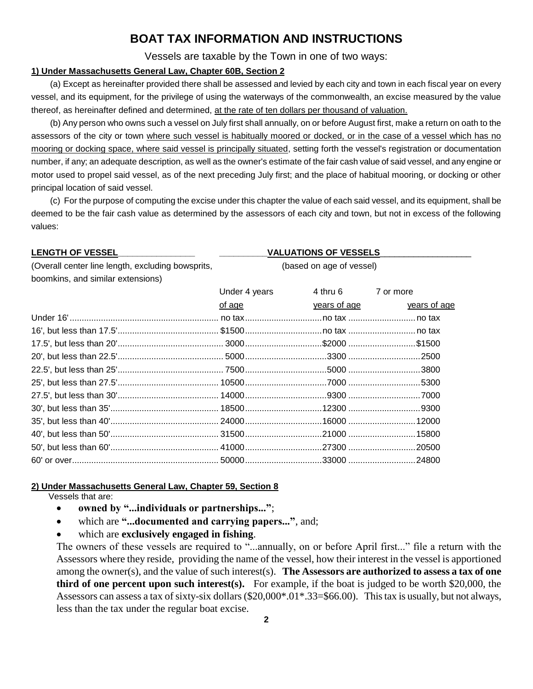## **BOAT TAX INFORMATION AND INSTRUCTIONS**

Vessels are taxable by the Town in one of two ways:

#### **1) Under Massachusetts General Law, Chapter 60B, Section 2**

(a) Except as hereinafter provided there shall be assessed and levied by each city and town in each fiscal year on every vessel, and its equipment, for the privilege of using the waterways of the commonwealth, an excise measured by the value thereof, as hereinafter defined and determined, at the rate of ten dollars per thousand of valuation.

(b) Any person who owns such a vessel on July first shall annually, on or before August first, make a return on oath to the assessors of the city or town where such vessel is habitually moored or docked, or in the case of a vessel which has no mooring or docking space, where said vessel is principally situated, setting forth the vessel's registration or documentation number, if any; an adequate description, as well as the owner's estimate of the fair cash value of said vessel, and any engine or motor used to propel said vessel, as of the next preceding July first; and the place of habitual mooring, or docking or other principal location of said vessel.

(c) For the purpose of computing the excise under this chapter the value of each said vessel, and its equipment, shall be deemed to be the fair cash value as determined by the assessors of each city and town, but not in excess of the following values:

### **LENGTH OF VESSEL\_\_\_\_\_\_\_\_\_\_\_\_\_\_\_\_ \_\_\_\_\_\_\_\_\_\_VALUATIONS OF VESSELS**\_\_\_\_\_\_\_\_\_\_\_\_\_\_\_\_\_\_\_ (Overall center line length, excluding bowsprits, (based on age of vessel) boomkins, and similar extensions) Under 4 years 4 thru 6 7 or more of age years of age years of age Under 16'.............................................................. no tax................................no tax ............................no tax 16', but less than 17.5'.......................................... \$1500................................no tax ............................no tax 17.5', but less than 20'............................................ 3000................................\$2000 ............................\$1500 20', but less than 22.5'............................................ 5000..................................3300 ..............................2500 22.5', but less than 25'............................................ 7500..................................5000 ..............................3800 25', but less than 27.5'.......................................... 10500..................................7000 ..............................5300 27.5', but less than 30'.......................................... 14000..................................9300 ..............................7000 30', but less than 35'............................................. 18500................................12300 ..............................9300 35', but less than 40'............................................. 24000................................16000 ............................12000 40', but less than 50'............................................. 31500................................21000 ............................15800 50', but less than 60'............................................. 41000................................27300 ............................20500 60' or over............................................................. 50000................................33000 ............................24800

#### **2) Under Massachusetts General Law, Chapter 59, Section 8**

Vessels that are:

- **owned by "...individuals or partnerships..."**;
- which are **"...documented and carrying papers..."**, and;
- which are **exclusively engaged in fishing**.

The owners of these vessels are required to "...annually, on or before April first..." file a return with the Assessors where they reside, providing the name of the vessel, how their interest in the vessel is apportioned among the owner(s), and the value of such interest(s). **The Assessors are authorized to assess a tax of one third of one percent upon such interest(s).** For example, if the boat is judged to be worth \$20,000, the Assessors can assess a tax of sixty-six dollars (\$20,000\*.01\*.33=\$66.00). This tax is usually, but not always, less than the tax under the regular boat excise.